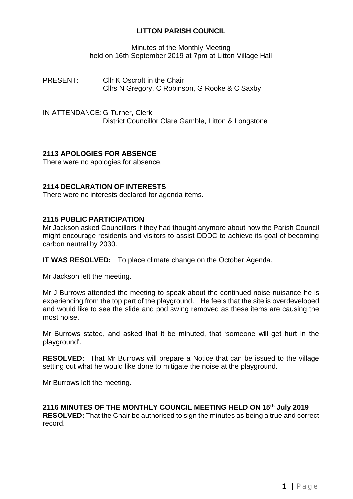# **LITTON PARISH COUNCIL**

Minutes of the Monthly Meeting held on 16th September 2019 at 7pm at Litton Village Hall

PRESENT: Cllr K Oscroft in the Chair Cllrs N Gregory, C Robinson, G Rooke & C Saxby

IN ATTENDANCE: G Turner, Clerk District Councillor Clare Gamble, Litton & Longstone

# **2113 APOLOGIES FOR ABSENCE**

There were no apologies for absence.

## **2114 DECLARATION OF INTERESTS**

There were no interests declared for agenda items.

### **2115 PUBLIC PARTICIPATION**

Mr Jackson asked Councillors if they had thought anymore about how the Parish Council might encourage residents and visitors to assist DDDC to achieve its goal of becoming carbon neutral by 2030.

**IT WAS RESOLVED:** To place climate change on the October Agenda.

Mr Jackson left the meeting.

Mr J Burrows attended the meeting to speak about the continued noise nuisance he is experiencing from the top part of the playground. He feels that the site is overdeveloped and would like to see the slide and pod swing removed as these items are causing the most noise.

Mr Burrows stated, and asked that it be minuted, that 'someone will get hurt in the playground'.

**RESOLVED:** That Mr Burrows will prepare a Notice that can be issued to the village setting out what he would like done to mitigate the noise at the playground.

Mr Burrows left the meeting.

**2116 MINUTES OF THE MONTHLY COUNCIL MEETING HELD ON 15 th July 2019 RESOLVED:** That the Chair be authorised to sign the minutes as being a true and correct record.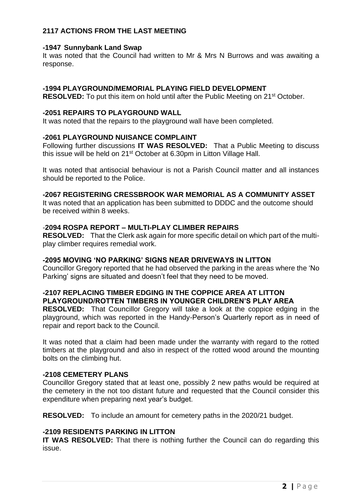# **2117 ACTIONS FROM THE LAST MEETING**

#### **-1947 Sunnybank Land Swap**

It was noted that the Council had written to Mr & Mrs N Burrows and was awaiting a response.

### **-1994 PLAYGROUND/MEMORIAL PLAYING FIELD DEVELOPMENT**

**RESOLVED:** To put this item on hold until after the Public Meeting on 21<sup>st</sup> October.

### **-2051 REPAIRS TO PLAYGROUND WALL**

It was noted that the repairs to the playground wall have been completed.

### **-2061 PLAYGROUND NUISANCE COMPLAINT**

Following further discussions **IT WAS RESOLVED:** That a Public Meeting to discuss this issue will be held on 21st October at 6.30pm in Litton Village Hall.

It was noted that antisocial behaviour is not a Parish Council matter and all instances should be reported to the Police.

# **-2067 REGISTERING CRESSBROOK WAR MEMORIAL AS A COMMUNITY ASSET**

It was noted that an application has been submitted to DDDC and the outcome should be received within 8 weeks.

# -**2094 ROSPA REPORT – MULTI-PLAY CLIMBER REPAIRS**

**RESOLVED:** That the Clerk ask again for more specific detail on which part of the multiplay climber requires remedial work.

#### **-2095 MOVING 'NO PARKING' SIGNS NEAR DRIVEWAYS IN LITTON**

Councillor Gregory reported that he had observed the parking in the areas where the 'No Parking' signs are situated and doesn't feel that they need to be moved.

## **-2107 REPLACING TIMBER EDGING IN THE COPPICE AREA AT LITTON PLAYGROUND/ROTTEN TIMBERS IN YOUNGER CHILDREN'S PLAY AREA**

**RESOLVED:** That Councillor Gregory will take a look at the coppice edging in the playground, which was reported in the Handy-Person's Quarterly report as in need of repair and report back to the Council.

It was noted that a claim had been made under the warranty with regard to the rotted timbers at the playground and also in respect of the rotted wood around the mounting bolts on the climbing hut.

#### **-2108 CEMETERY PLANS**

Councillor Gregory stated that at least one, possibly 2 new paths would be required at the cemetery in the not too distant future and requested that the Council consider this expenditure when preparing next year's budget.

**RESOLVED:** To include an amount for cemetery paths in the 2020/21 budget.

## **-2109 RESIDENTS PARKING IN LITTON**

**IT WAS RESOLVED:** That there is nothing further the Council can do regarding this issue.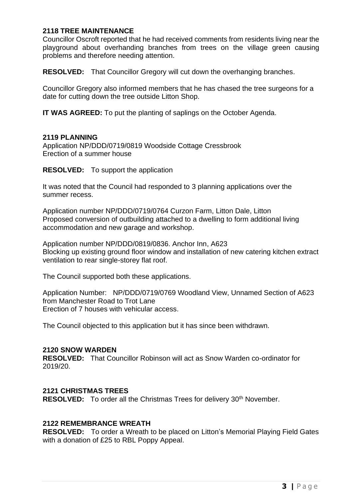## **2118 TREE MAINTENANCE**

Councillor Oscroft reported that he had received comments from residents living near the playground about overhanding branches from trees on the village green causing problems and therefore needing attention.

**RESOLVED:** That Councillor Gregory will cut down the overhanging branches.

Councillor Gregory also informed members that he has chased the tree surgeons for a date for cutting down the tree outside Litton Shop.

**IT WAS AGREED:** To put the planting of saplings on the October Agenda.

### **2119 PLANNING**

Application NP/DDD/0719/0819 Woodside Cottage Cressbrook Erection of a summer house

**RESOLVED:** To support the application

It was noted that the Council had responded to 3 planning applications over the summer recess.

Application number NP/DDD/0719/0764 Curzon Farm, Litton Dale, Litton Proposed conversion of outbuilding attached to a dwelling to form additional living accommodation and new garage and workshop.

Application number NP/DDD/0819/0836. Anchor Inn, A623 Blocking up existing ground floor window and installation of new catering kitchen extract ventilation to rear single-storey flat roof.

The Council supported both these applications.

Application Number: NP/DDD/0719/0769 Woodland View, Unnamed Section of A623 from Manchester Road to Trot Lane Erection of 7 houses with vehicular access.

The Council objected to this application but it has since been withdrawn.

#### **2120 SNOW WARDEN**

**RESOLVED:** That Councillor Robinson will act as Snow Warden co-ordinator for 2019/20.

#### **2121 CHRISTMAS TREES**

**RESOLVED:** To order all the Christmas Trees for delivery 30<sup>th</sup> November.

## **2122 REMEMBRANCE WREATH**

**RESOLVED:** To order a Wreath to be placed on Litton's Memorial Playing Field Gates with a donation of £25 to RBL Poppy Appeal.